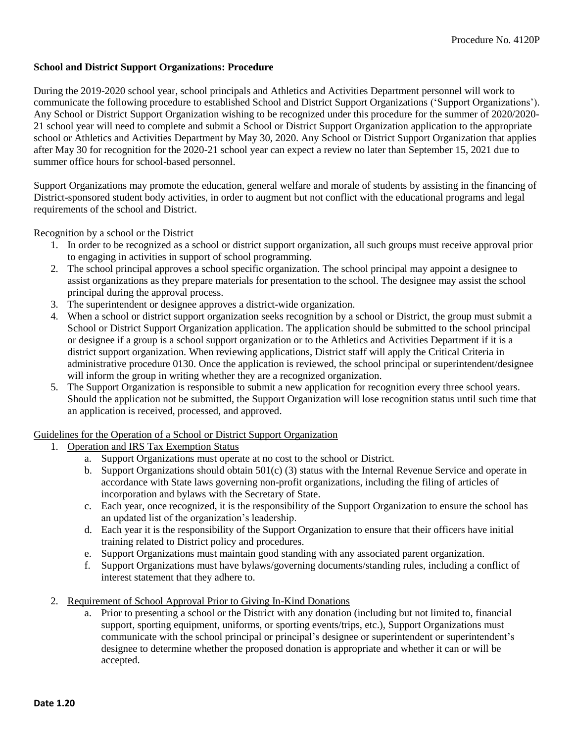## **School and District Support Organizations: Procedure**

During the 2019-2020 school year, school principals and Athletics and Activities Department personnel will work to communicate the following procedure to established School and District Support Organizations ('Support Organizations'). Any School or District Support Organization wishing to be recognized under this procedure for the summer of 2020/2020- 21 school year will need to complete and submit a School or District Support Organization application to the appropriate school or Athletics and Activities Department by May 30, 2020. Any School or District Support Organization that applies after May 30 for recognition for the 2020-21 school year can expect a review no later than September 15, 2021 due to summer office hours for school-based personnel.

Support Organizations may promote the education, general welfare and morale of students by assisting in the financing of District-sponsored student body activities, in order to augment but not conflict with the educational programs and legal requirements of the school and District.

Recognition by a school or the District

- 1. In order to be recognized as a school or district support organization, all such groups must receive approval prior to engaging in activities in support of school programming.
- 2. The school principal approves a school specific organization. The school principal may appoint a designee to assist organizations as they prepare materials for presentation to the school. The designee may assist the school principal during the approval process.
- 3. The superintendent or designee approves a district-wide organization.
- 4. When a school or district support organization seeks recognition by a school or District, the group must submit a School or District Support Organization application. The application should be submitted to the school principal or designee if a group is a school support organization or to the Athletics and Activities Department if it is a district support organization. When reviewing applications, District staff will apply the Critical Criteria in administrative procedure 0130. Once the application is reviewed, the school principal or superintendent/designee will inform the group in writing whether they are a recognized organization.
- 5. The Support Organization is responsible to submit a new application for recognition every three school years. Should the application not be submitted, the Support Organization will lose recognition status until such time that an application is received, processed, and approved.

## Guidelines for the Operation of a School or District Support Organization

- 1. Operation and IRS Tax Exemption Status
	- a. Support Organizations must operate at no cost to the school or District.
	- b. Support Organizations should obtain 501(c) (3) status with the Internal Revenue Service and operate in accordance with State laws governing non-profit organizations, including the filing of articles of incorporation and bylaws with the Secretary of State.
	- c. Each year, once recognized, it is the responsibility of the Support Organization to ensure the school has an updated list of the organization's leadership.
	- d. Each year it is the responsibility of the Support Organization to ensure that their officers have initial training related to District policy and procedures.
	- e. Support Organizations must maintain good standing with any associated parent organization.
	- f. Support Organizations must have bylaws/governing documents/standing rules, including a conflict of interest statement that they adhere to.
- 2. Requirement of School Approval Prior to Giving In-Kind Donations
	- a. Prior to presenting a school or the District with any donation (including but not limited to, financial support, sporting equipment, uniforms, or sporting events/trips, etc.), Support Organizations must communicate with the school principal or principal's designee or superintendent or superintendent's designee to determine whether the proposed donation is appropriate and whether it can or will be accepted.